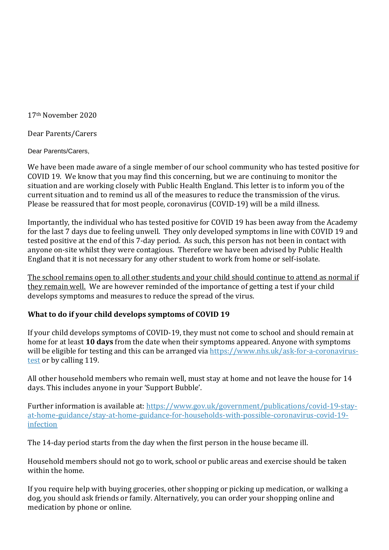17th November 2020

Dear Parents/Carers

Dear Parents/Carers,

We have been made aware of a single member of our school community who has tested positive for COVID 19. We know that you may find this concerning, but we are continuing to monitor the situation and are working closely with Public Health England. This letter is to inform you of the current situation and to remind us all of the measures to reduce the transmission of the virus. Please be reassured that for most people, coronavirus (COVID-19) will be a mild illness.

Importantly, the individual who has tested positive for COVID 19 has been away from the Academy for the last 7 days due to feeling unwell. They only developed symptoms in line with COVID 19 and tested positive at the end of this 7-day period. As such, this person has not been in contact with anyone on-site whilst they were contagious. Therefore we have been advised by Public Health England that it is not necessary for any other student to work from home or self-isolate.

The school remains open to all other students and your child should continue to attend as normal if they remain well. We are however reminded of the importance of getting a test if your child develops symptoms and measures to reduce the spread of the virus.

#### **What to do if your child develops symptoms of COVID 19**

If your child develops symptoms of COVID-19, they must not come to school and should remain at home for at least **10 days** from the date when their symptoms appeared. Anyone with symptoms will be eligible for testing and this can be arranged via [https://www.nhs.uk/ask-for-a-coronavirus](https://www.nhs.uk/ask-for-a-coronavirus-test)[test](https://www.nhs.uk/ask-for-a-coronavirus-test) or by calling 119.

All other household members who remain well, must stay at home and not leave the house for 14 days. This includes anyone in your 'Support Bubble'.

Further information is available at: [https://www.gov.uk/government/publications/covid-19-stay](https://www.gov.uk/government/publications/covid-19-stay-at-home-guidance/stay-at-home-guidance-for-households-with-possible-coronavirus-covid-19-infection)[at-home-guidance/stay-at-home-guidance-for-households-with-possible-coronavirus-covid-19](https://www.gov.uk/government/publications/covid-19-stay-at-home-guidance/stay-at-home-guidance-for-households-with-possible-coronavirus-covid-19-infection) [infection](https://www.gov.uk/government/publications/covid-19-stay-at-home-guidance/stay-at-home-guidance-for-households-with-possible-coronavirus-covid-19-infection)

The 14-day period starts from the day when the first person in the house became ill.

Household members should not go to work, school or public areas and exercise should be taken within the home.

If you require help with buying groceries, other shopping or picking up medication, or walking a dog, you should ask friends or family. Alternatively, you can order your shopping online and medication by phone or online.